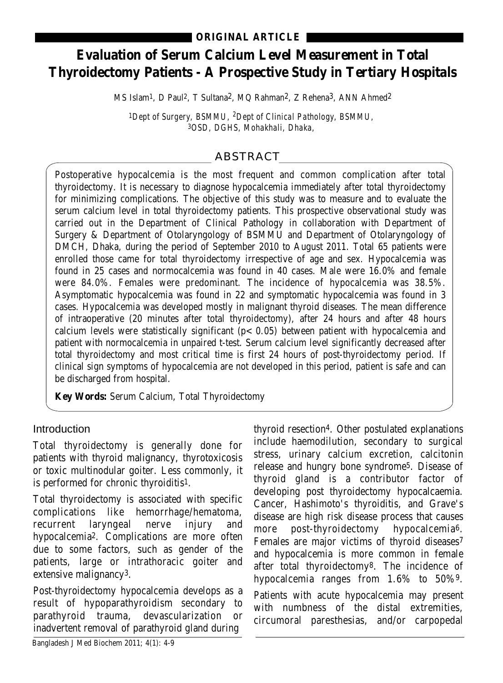# **Evaluation of Serum Calcium Level Measurement in Total Thyroidectomy Patients - A Prospective Study in Tertiary Hospitals**

MS Islam1, D Paul2, T Sultana2, MQ Rahman2, Z Rehena3, ANN Ahmed2

*1Dept of Surgery, BSMMU, 2Dept of Clinical Pathology, BSMMU, 3OSD, DGHS, Mohakhali, Dhaka,* 

# ABSTRACT

Postoperative hypocalcemia is the most frequent and common complication after total thyroidectomy. It is necessary to diagnose hypocalcemia immediately after total thyroidectomy for minimizing complications. The objective of this study was to measure and to evaluate the serum calcium level in total thyroidectomy patients. This prospective observational study was carried out in the Department of Clinical Pathology in collaboration with Department of Surgery & Department of Otolaryngology of BSMMU and Department of Otolaryngology of DMCH, Dhaka, during the period of September 2010 to August 2011. Total 65 patients were enrolled those came for total thyroidectomy irrespective of age and sex. Hypocalcemia was found in 25 cases and normocalcemia was found in 40 cases. Male were 16.0% and female were 84.0%. Females were predominant. The incidence of hypocalcemia was 38.5%. Asymptomatic hypocalcemia was found in 22 and symptomatic hypocalcemia was found in 3 cases. Hypocalcemia was developed mostly in malignant thyroid diseases. The mean difference of intraoperative (20 minutes after total thyroidectomy), after 24 hours and after 48 hours calcium levels were statistically significant  $(p < 0.05)$  between patient with hypocalcemia and patient with normocalcemia in unpaired t-test. Serum calcium level significantly decreased after total thyroidectomy and most critical time is first 24 hours of post-thyroidectomy period. If clinical sign symptoms of hypocalcemia are not developed in this period, patient is safe and can be discharged from hospital.

**Key Words:** Serum Calcium, Total Thyroidectomy

### Introduction

Total thyroidectomy is generally done for patients with thyroid malignancy, thyrotoxicosis or toxic multinodular goiter. Less commonly, it is performed for chronic thyroiditis1.

Total thyroidectomy is associated with specific complications like hemorrhage/hematoma, recurrent laryngeal nerve injury and hypocalcemia2. Complications are more often due to some factors, such as gender of the patients, large or intrathoracic goiter and extensive malignancy3.

Post-thyroidectomy hypocalcemia develops as a result of hypoparathyroidism secondary to parathyroid trauma, devascularization or inadvertent removal of parathyroid gland during

thyroid resection4. Other postulated explanations include haemodilution, secondary to surgical stress, urinary calcium excretion, calcitonin release and hungry bone syndrome5. Disease of thyroid gland is a contributor factor of developing post thyroidectomy hypocalcaemia. Cancer, Hashimoto's thyroiditis, and Grave's disease are high risk disease process that causes more post-thyroidectomy hypocalcemia6. Females are major victims of thyroid diseases<sup>7</sup> and hypocalcemia is more common in female after total thyroidectomy8. The incidence of hypocalcemia ranges from 1.6% to 50%9. Patients with acute hypocalcemia may present with numbness of the distal extremities, circumoral paresthesias, and/or carpopedal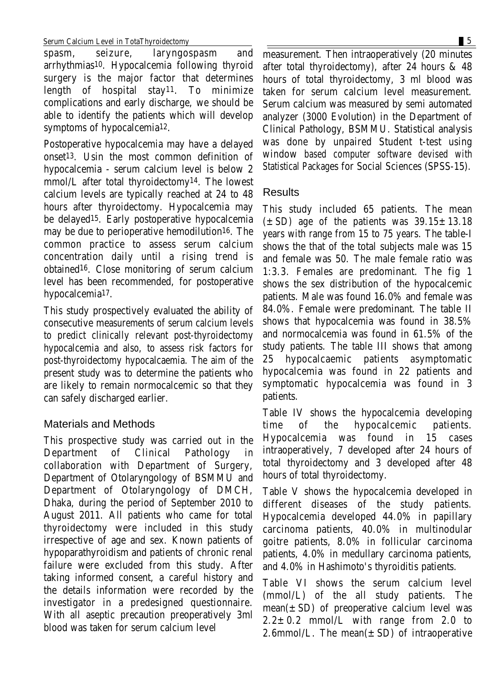spasm, seizure, laryngospasm and arrhythmias10. Hypocalcemia following thyroid surgery is the major factor that determines length of hospital stay11. To minimize complications and early discharge, we should be able to identify the patients which will develop symptoms of hypocalcemia12.

Postoperative hypocalcemia may have a delayed onset13. Usin the most common definition of hypocalcemia - serum calcium level is below 2 mmol/L after total thyroidectomy14. The lowest calcium levels are typically reached at 24 to 48 hours after thyroidectomy. Hypocalcemia may be delayed15. Early postoperative hypocalcemia may be due to perioperative hemodilution16. The common practice to assess serum calcium concentration daily until a rising trend is obtained16. Close monitoring of serum calcium level has been recommended, for postoperative hypocalcemia17.

This study prospectively evaluated the ability of consecutive measurements of serum calcium levels to predict clinically relevant post-thyroidectomy hypocalcemia and also, to assess risk factors for post-thyroidectomy hypocalcaemia. The aim of the present study was to determine the patients who are likely to remain normocalcemic so that they can safely discharged earlier.

## Materials and Methods

This prospective study was carried out in the Department of Clinical Pathology in collaboration with Department of Surgery, Department of Otolaryngology of BSMMU and Department of Otolaryngology of DMCH, Dhaka, during the period of September 2010 to August 2011. All patients who came for total thyroidectomy were included in this study irrespective of age and sex. Known patients of hypoparathyroidism and patients of chronic renal failure were excluded from this study. After taking informed consent, a careful history and the details information were recorded by the investigator in a predesigned questionnaire. With all aseptic precaution preoperatively 3ml blood was taken for serum calcium level

measurement. Then intraoperatively (20 minutes after total thyroidectomy), after 24 hours & 48 hours of total thyroidectomy, 3 ml blood was taken for serum calcium level measurement. Serum calcium was measured by semi automated analyzer (3000 Evolution) in the Department of Clinical Pathology, BSMMU. Statistical analysis was done by unpaired Student t-test using window based computer software devised with

Statistical Packages for Social Sciences (SPSS-15).

### **Results**

This study included 65 patients. The mean  $(\pm SD)$  age of the patients was  $39.15 \pm 13.18$ years with range from 15 to 75 years. The table-I shows the that of the total subjects male was 15 and female was 50. The male female ratio was 1:3.3. Females are predominant. The fig 1 shows the sex distribution of the hypocalcemic patients. Male was found 16.0% and female was 84.0%. Female were predominant. The table II shows that hypocalcemia was found in 38.5% and normocalcemia was found in 61.5% of the study patients. The table III shows that among 25 hypocalcaemic patients asymptomatic hypocalcemia was found in 22 patients and symptomatic hypocalcemia was found in 3 patients.

Table IV shows the hypocalcemia developing time of the hypocalcemic patients. Hypocalcemia was found in 15 cases intraoperatively, 7 developed after 24 hours of total thyroidectomy and 3 developed after 48 hours of total thyroidectomy.

Table V shows the hypocalcemia developed in different diseases of the study patients. Hypocalcemia developed 44.0% in papillary carcinoma patients, 40.0% in multinodular goitre patients, 8.0% in follicular carcinoma patients, 4.0% in medullary carcinoma patients, and 4.0% in Hashimoto's thyroiditis patients.

Table VI shows the serum calcium level (mmol/L) of the all study patients. The mean( $\pm$  SD) of preoperative calcium level was  $2.2 \pm 0.2$  mmol/L with range from 2.0 to 2.6mmol/L. The mean $(\pm SD)$  of intraoperative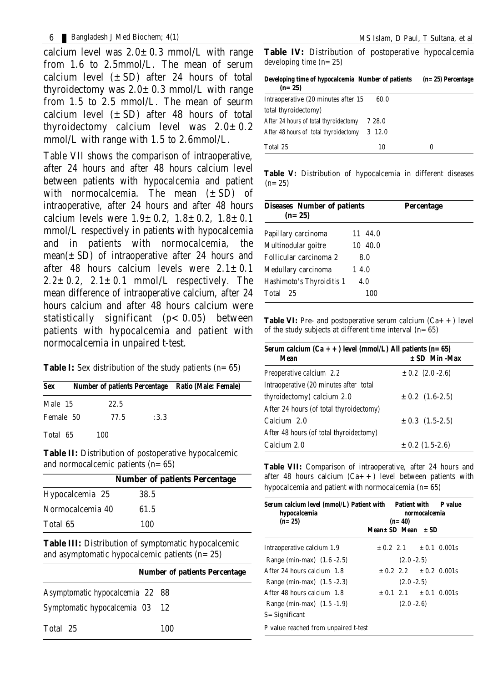calcium level was  $2.0 \pm 0.3$  mmol/L with range from 1.6 to 2.5mmol/L. The mean of serum calcium level  $(\pm SD)$  after 24 hours of total thyroidectomy was  $2.0 \pm 0.3$  mmol/L with range from 1.5 to 2.5 mmol/L. The mean of seurm calcium level  $(\pm SD)$  after 48 hours of total thyroidectomy calcium level was  $2.0 \pm 0.2$ mmol/L with range with 1.5 to 2.6mmol/L.

Table VII shows the comparison of intraoperative, after 24 hours and after 48 hours calcium level between patients with hypocalcemia and patient with normocalcemia. The mean  $(\pm SD)$  of intraoperative, after 24 hours and after 48 hours calcium levels were  $1.9 \pm 0.2$ ,  $1.8 \pm 0.2$ ,  $1.8 \pm 0.1$ mmol/L respectively in patients with hypocalcemia and in patients with normocalcemia, the mean( $\pm$  SD) of intraoperative after 24 hours and after 48 hours calcium levels were  $2.1 \pm 0.1$  $2.2 \pm 0.2$ ,  $2.1 \pm 0.1$  mmol/L respectively. The mean difference of intraoperative calcium, after 24 hours calcium and after 48 hours calcium were statistically significant  $(p < 0.05)$  between patients with hypocalcemia and patient with normocalcemia in unpaired t-test.

| Sex       | Number of patients Percentage Ratio (Male: Female) |      |  |
|-----------|----------------------------------------------------|------|--|
| Male 15   | 22.5                                               |      |  |
| Female 50 | 77.5                                               | :3.3 |  |
| Total 65  | 100                                                |      |  |
|           |                                                    |      |  |

**Table II:** Distribution of postoperative hypocalcemic and normocalcemic patients  $(n=65)$ 

|                  | <b>Number of patients Percentage</b> |
|------------------|--------------------------------------|
| Hypocalcemia 25  | 38.5                                 |
| Normocalcemia 40 | 61.5                                 |
| Total 65         | 100                                  |

**Table III:** Distribution of symptomatic hypocalcemic and asymptomatic hypocalcemic patients  $(n=25)$ 

| <b>Number of patients Percentage</b> |     |  |
|--------------------------------------|-----|--|
| Asymptomatic hypocalcemia 22 88      |     |  |
| Symptomatic hypocalcemia 03 12       |     |  |
| Total 25                             | 100 |  |

**Table IV:** Distribution of postoperative hypocalcemia developing time (n=25)

| Developing time of hypocalcemia Number of patients<br>$(n=25)$ | $(n=25)$ Percentage |   |  |
|----------------------------------------------------------------|---------------------|---|--|
| Intraoperative (20 minutes after 15                            | 60.0                |   |  |
| total thyroidectomy)                                           |                     |   |  |
| After 24 hours of total thyroidectomy                          | 7 28.0              |   |  |
| After 48 hours of total thyroidectomy                          | $3\,12.0$           |   |  |
| Total 25                                                       | 10                  | 0 |  |

**Table V:** Distribution of hypocalcemia in different diseases  $(n=25)$ 

| <b>Diseases Number of patients</b><br>$(n=25)$ |          | Percentage |
|------------------------------------------------|----------|------------|
| Papillary carcinoma                            | 11 44.0  |            |
| Multinodular goitre                            | 10, 40.0 |            |
| Follicular carcinoma 2                         | 8.0      |            |
| Medullary carcinoma                            | 14.0     |            |
| Hashimoto's Thyroiditis 1                      | 4.0      |            |
| Total 25                                       | 100      |            |

**Table VI:** Pre- and postoperative serum calcium  $(Ca + +)$  level of the study subjects at different time interval  $(n=65)$ 

| Serum calcium $(Ca + +)$ level (mmol/L) All patients (n= 65)<br>Mean | $\pm$ SD Min -Max    |  |  |
|----------------------------------------------------------------------|----------------------|--|--|
| Preoperative calcium 2.2                                             | $\pm 0.2$ (2.0 -2.6) |  |  |
| Intraoperative (20 minutes after total                               |                      |  |  |
| thyroidectomy) calcium 2.0                                           | $\pm 0.2$ (1.6-2.5)  |  |  |
| After 24 hours (of total thyroidectomy)                              |                      |  |  |
| Calcium 2.0                                                          | $\pm 0.3$ (1.5-2.5)  |  |  |
| After 48 hours (of total thyroidectomy)                              |                      |  |  |
| Calcium 2.0                                                          | $\pm$ 0.2 (1.5-2.6)  |  |  |

**Table VII:** Comparison of intraoperative, after 24 hours and after 48 hours calcium  $(Ca++)$  level between patients with hypocalcemia and patient with normocalcemia  $(n=65)$ 

| Serum calcium level (mmol/L) Patient with Patient with P value |                                                    |  |                                |  |  |
|----------------------------------------------------------------|----------------------------------------------------|--|--------------------------------|--|--|
| hypocalcemia<br>$(n=25)$                                       | normocalcemia<br>$(n=40)$<br>$Mean + SD Mean + SD$ |  |                                |  |  |
|                                                                |                                                    |  |                                |  |  |
| Intraoperative calcium 1.9                                     |                                                    |  | $\pm 0.2$ 2.1 $\pm 0.1$ 0.001s |  |  |
| Range (min-max) (1.6 - 2.5)                                    | $(2.0 - 2.5)$                                      |  |                                |  |  |
| After 24 hours calcium 1.8                                     |                                                    |  | $\pm 0.2$ 2.2 $\pm 0.2$ 0.001s |  |  |
| Range (min-max) (1.5 - 2.3)                                    | $(2.0 - 2.5)$                                      |  |                                |  |  |
| After 48 hours calcium 1.8                                     |                                                    |  | $\pm 0.1$ 2.1 $\pm 0.1$ 0.001s |  |  |
| Range (min-max) $(1.5 - 1.9)$                                  | $(2.0 - 2.6)$                                      |  |                                |  |  |
| S= Significant                                                 |                                                    |  |                                |  |  |
| P value reached from unpaired t-test                           |                                                    |  |                                |  |  |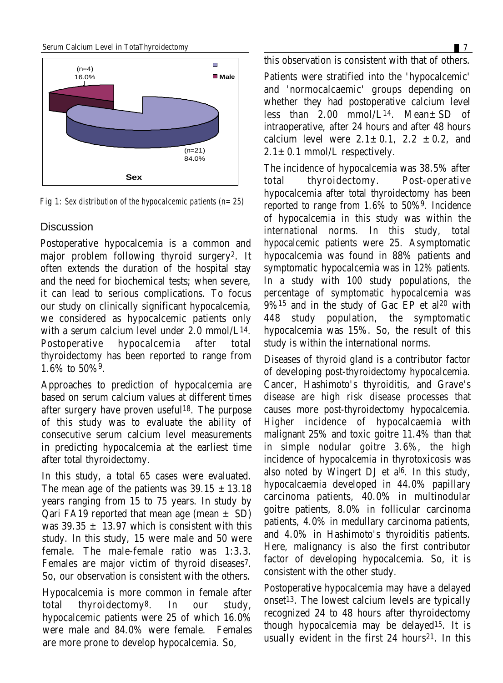#### Serum Calcium Level in TotaThyroidectomy 7



*Fig 1: Sex distribution of the hypocalcemic patients (n=25)*

#### **Discussion**

Postoperative hypocalcemia is a common and major problem following thyroid surgery2. It often extends the duration of the hospital stay and the need for biochemical tests; when severe, it can lead to serious complications. To focus our study on clinically significant hypocalcemia, we considered as hypocalcemic patients only with a serum calcium level under 2.0 mmol/L14. Postoperative hypocalcemia after total thyroidectomy has been reported to range from 1.6% to 50%9.

Approaches to prediction of hypocalcemia are based on serum calcium values at different times after surgery have proven useful18. The purpose of this study was to evaluate the ability of consecutive serum calcium level measurements in predicting hypocalcemia at the earliest time after total thyroidectomy.

In this study, a total 65 cases were evaluated. The mean age of the patients was  $39.15 \pm 13.18$ years ranging from 15 to 75 years. In study by **Qari FA19 reported that mean age (mean**  $\pm$  **SD)** was  $39.35 + 13.97$  which is consistent with this study. In this study, 15 were male and 50 were female. The male-female ratio was 1:3.3. Females are major victim of thyroid diseases7. So, our observation is consistent with the others.

Hypocalcemia is more common in female after total thyroidectomy8. In our study, hypocalcemic patients were 25 of which 16.0% were male and 84.0% were female. Females are more prone to develop hypocalcemia. So,

this observation is consistent with that of others.

Patients were stratified into the 'hypocalcemic' and 'normocalcaemic' groups depending on whether they had postoperative calcium level less than  $2.00$  mmol/L<sup>14</sup>. Mean $\pm$ SD of intraoperative, after 24 hours and after 48 hours calcium level were  $2.1 \pm 0.1$ ,  $2.2 \pm 0.2$ , and  $2.1 \pm 0.1$  mmol/L respectively.

The incidence of hypocalcemia was 38.5% after total thyroidectomy. Post-operative hypocalcemia after total thyroidectomy has been reported to range from 1.6% to 50%9. Incidence of hypocalcemia in this study was within the international norms. In this study, total hypocalcemic patients were 25. Asymptomatic hypocalcemia was found in 88% patients and symptomatic hypocalcemia was in 12% patients. In a study with 100 study populations, the percentage of symptomatic hypocalcemia was  $9\%$ <sup>15</sup> and in the study of Gac EP et al<sup>20</sup> with 448 study population, the symptomatic hypocalcemia was 15%. So, the result of this study is within the international norms.

Diseases of thyroid gland is a contributor factor of developing post-thyroidectomy hypocalcemia. Cancer, Hashimoto's thyroiditis, and Grave's disease are high risk disease processes that causes more post-thyroidectomy hypocalcemia. Higher incidence of hypocalcaemia with malignant 25% and toxic goitre 11.4% than that in simple nodular goitre 3.6%, the high incidence of hypocalcemia in thyrotoxicosis was also noted by Wingert DJ et al6. In this study, hypocalcaemia developed in 44.0% papillary carcinoma patients, 40.0% in multinodular goitre patients, 8.0% in follicular carcinoma patients, 4.0% in medullary carcinoma patients, and 4.0% in Hashimoto's thyroiditis patients. Here, malignancy is also the first contributor factor of developing hypocalcemia. So, it is consistent with the other study.

Postoperative hypocalcemia may have a delayed onset13. The lowest calcium levels are typically recognized 24 to 48 hours after thyroidectomy though hypocalcemia may be delayed15. It is usually evident in the first 24 hours<sup>21</sup>. In this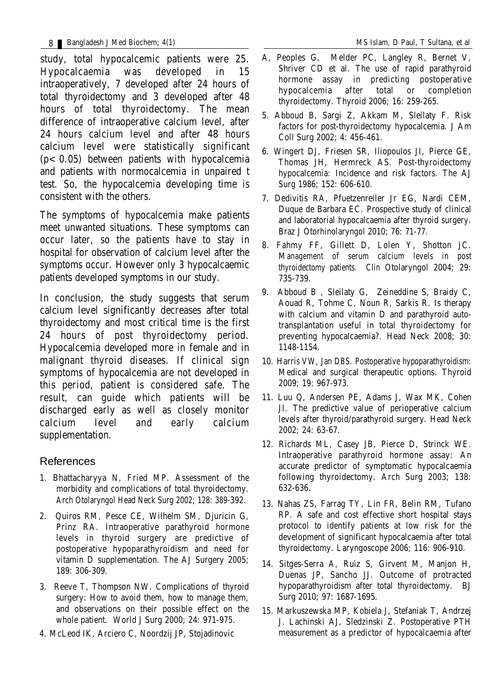study, total hypocalcemic patients were 25. Hypocalcaemia was developed in 15 intraoperatively, 7 developed after 24 hours of total thyroidectomy and 3 developed after 48 hours of total thyroidectomy. The mean difference of intraoperative calcium level, after 24 hours calcium level and after 48 hours calcium level were statistically significant  $(p<0.05)$  between patients with hypocalcemia and patients with normocalcemia in unpaired t test. So, the hypocalcemia developing time is consistent with the others.

The symptoms of hypocalcemia make patients meet unwanted situations. These symptoms can occur later, so the patients have to stay in hospital for observation of calcium level after the symptoms occur. However only 3 hypocalcaemic patients developed symptoms in our study.

In conclusion, the study suggests that serum calcium level significantly decreases after total thyroidectomy and most critical time is the first 24 hours of post thyroidectomy period. Hypocalcemia developed more in female and in malignant thyroid diseases. If clinical sign symptoms of hypocalcemia are not developed in this period, patient is considered safe. The result, can guide which patients will be discharged early as well as closely monitor calcium level and early calcium supplementation.

### References

- 1. Bhattacharyya N, Fried MP. Assessment of the morbidity and complications of total thyroidectomy. Arch Otolaryngol Head Neck Surg 2002; 128: 389-392.
- 2. Quiros RM, Pesce CE, Wilhelm SM, Djuricin G, Prinz RA. Intraoperative parathyroid hormone levels in thyroid surgery are predictive of postoperative hypoparathyroidism and need for vitamin D supplementation. The AJ Surgery 2005; 189: 306-309.
- 3. Reeve T, Thompson NW. Complications of thyroid surgery: How to avoid them, how to manage them, and observations on their possible effect on the whole patient. World J Surg 2000; 24: 971-975.
- 4. McLeod IK, Arciero C, Noordzij JP, Stojadinovic
- A, Peoples G, Melder PC, Langley R, Bernet V, Shriver CD et al. The use of rapid parathyroid hormone assay in predicting postoperative hypocalcemia after total or completion thyroidectomy. Thyroid 2006; 16: 259-265.
- 5. Abboud B, Sargi Z, Akkam M, Sleilaty F. Risk factors for post-thyroidectomy hypocalcemia. J Am Coll Surg 2002; 4: 456-461.
- 6. Wingert DJ, Friesen SR, Iliopoulos JI, Pierce GE, Thomas JH, Hermreck AS. Post-thyroidectomy hypocalcemia: Incidence and risk factors. The AJ Surg 1986; 152: 606-610.
- 7. Dedivitis RA, Pfuetzenreiler Jr EG, Nardi CEM, Duque de Barbara EC. Prospective study of clinical and laboratorial hypocalcaemia after thyroid surgery. Braz J Otorhinolaryngol 2010; 76: 71-77.
- 8. Fahmy FF, Gillett D, Lolen Y, Shotton JC. Management of serum calcium levels in post thyroidectomy patients. Clin Otolaryngol 2004; 29: 735-739.
- 9. Abboud B , Sleilaty G, Zeineddine S, Braidy C, Aouad R, Tohme C, Noun R, Sarkis R. Is therapy with calcium and vitamin D and parathyroid autotransplantation useful in total thyroidectomy for preventing hypocalcaemia?. Head Neck 2008; 30: 1148-1154.
- 10. Harris VW, Jan DBS. Postoperative hypoparathyroidism: Medical and surgical therapeutic options. Thyroid 2009; 19: 967-973.
- 11. Luu Q, Andersen PE, Adams J, Wax MK, Cohen JI. The predictive value of perioperative calcium levels after thyroid/parathyroid surgery. Head Neck 2002; 24: 63-67.
- 12. Richards ML, Casey JB, Pierce D, Strinck WE. Intraoperative parathyroid hormone assay: An accurate predictor of symptomatic hypocalcaemia following thyroidectomy. Arch Surg 2003; 138: 632-636.
- 13. Nahas ZS, Farrag TY, Lin FR, Belin RM, Tufano RP. A safe and cost effective short hospital stays protocol to identify patients at low risk for the development of significant hypocalcaemia after total thyroidectomy. Laryngoscope 2006; 116: 906-910.
- 14. Sitges-Serra A, Ruiz S, Girvent M, Manjon H, Duenas JP, Sancho JJ. Outcome of protracted hypoparathyroidism after total thyroidectomy. BJ Surg 2010; 97: 1687-1695.
- 15. Markuszewska MP, Kobiela J, Stefaniak T, Andrzej J. Lachinski AJ, Sledzinski Z. Postoperative PTH measurement as a predictor of hypocalcaemia after